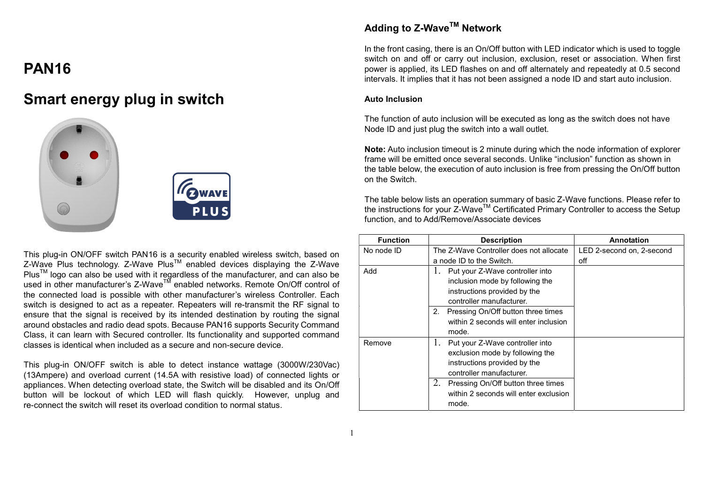# PAN16

# Smart energy plug in switch





This plug-in ON/OFF switch PAN16 is a security enabled wireless switch, based on  $Z$ -Wave Plus technology. Z-Wave Plus<sup>TM</sup> enabled devices displaying the Z-Wave Plus<sup>™</sup> logo can also be used with it regardless of the manufacturer, and can also be used in other manufacturer's Z-Wave<sup>TM</sup> enabled networks. Remote On/Off control of the connected load is possible with other manufacturer's wireless Controller. Each switch is designed to act as a repeater. Repeaters will re-transmit the RF signal to ensure that the signal is received by its intended destination by routing the signal around obstacles and radio dead spots. Because PAN16 supports Security Command Class, it can learn with Secured controller. Its functionality and supported command classes is identical when included as a secure and non-secure device.

This plug-in ON/OFF switch is able to detect instance wattage (3000W/230Vac) (13Ampere) and overload current (14.5A with resistive load) of connected lights or appliances. When detecting overload state, the Switch will be disabled and its On/Off button will be lockout of which LED will flash quickly. However, unplug and re-connect the switch will reset its overload condition to normal status.

## Adding to Z-Wave<sup>™</sup> Network

In the front casing, there is an On/Off button with LED indicator which is used to toggle switch on and off or carry out inclusion, exclusion, reset or association. When first power is applied, its LED flashes on and off alternately and repeatedly at 0.5 second intervals. It implies that it has not been assigned a node ID and start auto inclusion.

#### Auto Inclusion

The function of auto inclusion will be executed as long as the switch does not have Node ID and just plug the switch into a wall outlet.

Note: Auto inclusion timeout is 2 minute during which the node information of explorer frame will be emitted once several seconds. Unlike "inclusion" function as shown in the table below, the execution of auto inclusion is free from pressing the On/Off button on the Switch.

The table below lists an operation summary of basic Z-Wave functions. Please refer to the instructions for your Z-Wave™ Certificated Primary Controller to access the Setup function, and to Add/Remove/Associate devices

| <b>Function</b> | <b>Description</b>                       | <b>Annotation</b>         |
|-----------------|------------------------------------------|---------------------------|
| No node ID      | The Z-Wave Controller does not allocate  | LED 2-second on, 2-second |
|                 | a node ID to the Switch.                 | off                       |
| Add             | Put your Z-Wave controller into<br>1.    |                           |
|                 | inclusion mode by following the          |                           |
|                 | instructions provided by the             |                           |
|                 | controller manufacturer.                 |                           |
|                 | Pressing On/Off button three times<br>2. |                           |
|                 | within 2 seconds will enter inclusion    |                           |
|                 | mode.                                    |                           |
| Remove          | Put your Z-Wave controller into<br>1.    |                           |
|                 | exclusion mode by following the          |                           |
|                 | instructions provided by the             |                           |
|                 | controller manufacturer.                 |                           |
|                 | 2.<br>Pressing On/Off button three times |                           |
|                 | within 2 seconds will enter exclusion    |                           |
|                 | mode.                                    |                           |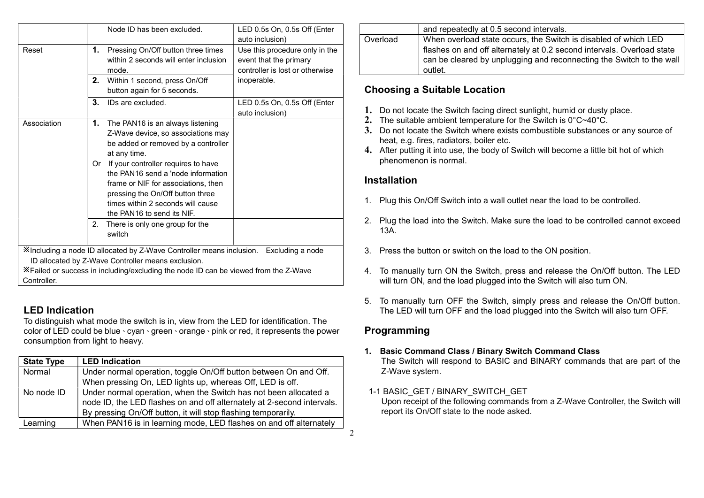|             | Node ID has been excluded.                                                                                                                                                                                                    | LED 0.5s On, 0.5s Off (Enter<br>auto inclusion)                                             |
|-------------|-------------------------------------------------------------------------------------------------------------------------------------------------------------------------------------------------------------------------------|---------------------------------------------------------------------------------------------|
| Reset       | 1.<br>Pressing On/Off button three times<br>within 2 seconds will enter inclusion<br>mode.                                                                                                                                    | Use this procedure only in the<br>event that the primary<br>controller is lost or otherwise |
|             | 2.<br>Within 1 second, press On/Off<br>button again for 5 seconds.                                                                                                                                                            | inoperable.                                                                                 |
|             | 3.<br>IDs are excluded.                                                                                                                                                                                                       | LED 0.5s On, 0.5s Off (Enter<br>auto inclusion)                                             |
| Association | 1.<br>The PAN16 is an always listening<br>Z-Wave device, so associations may<br>be added or removed by a controller<br>at any time.                                                                                           |                                                                                             |
|             | If your controller requires to have<br>0r<br>the PAN16 send a 'node information<br>frame or NIF for associations, then<br>pressing the On/Off button three<br>times within 2 seconds will cause<br>the PAN16 to send its NIF. |                                                                                             |
|             | There is only one group for the<br>2.<br>switch                                                                                                                                                                               |                                                                                             |
|             | XIncluding a node ID allocated by Z-Wave Controller means inclusion. Excluding a node                                                                                                                                         |                                                                                             |
|             | ID allocated by Z-Wave Controller means exclusion.                                                                                                                                                                            |                                                                                             |
| Controller. | X Failed or success in including/excluding the node ID can be viewed from the Z-Wave                                                                                                                                          |                                                                                             |

## LED Indication

To distinguish what mode the switch is in, view from the LED for identification. The color of LED could be blue、cyan、green、orange、pink or red, it represents the power consumption from light to heavy.

| <b>State Type</b> | <b>LED Indication</b>                                                  |
|-------------------|------------------------------------------------------------------------|
| Normal            | Under normal operation, toggle On/Off button between On and Off.       |
|                   | When pressing On, LED lights up, whereas Off, LED is off.              |
| No node ID        | Under normal operation, when the Switch has not been allocated a       |
|                   | node ID, the LED flashes on and off alternately at 2-second intervals. |
|                   | By pressing On/Off button, it will stop flashing temporarily.          |
| Learning          | When PAN16 is in learning mode, LED flashes on and off alternately     |

|          | and repeatedly at 0.5 second intervals.                                                                                                                                                                                      |
|----------|------------------------------------------------------------------------------------------------------------------------------------------------------------------------------------------------------------------------------|
| Overload | When overload state occurs, the Switch is disabled of which LED<br>flashes on and off alternately at 0.2 second intervals. Overload state<br>can be cleared by unplugging and reconnecting the Switch to the wall<br>outlet. |

## Choosing a Suitable Location

- 1. Do not locate the Switch facing direct sunlight, humid or dusty place.
- 2. The suitable ambient temperature for the Switch is 0°C~40°C.
- 3. Do not locate the Switch where exists combustible substances or any source of heat, e.g. fires, radiators, boiler etc.
- 4. After putting it into use, the body of Switch will become a little bit hot of which phenomenon is normal.

## Installation

- 1. Plug this On/Off Switch into a wall outlet near the load to be controlled.
- 2. Plug the load into the Switch. Make sure the load to be controlled cannot exceed 13A.
- 3. Press the button or switch on the load to the ON position.
- 4. To manually turn ON the Switch, press and release the On/Off button. The LED will turn ON, and the load plugged into the Switch will also turn ON.
- 5. To manually turn OFF the Switch, simply press and release the On/Off button. The LED will turn OFF and the load plugged into the Switch will also turn OFF.

## Programming

- 1. Basic Command Class / Binary Switch Command Class The Switch will respond to BASIC and BINARY commands that are part of the Z-Wave system.
- 1-1 BASIC\_GET / BINARY\_SWITCH\_GET

 Upon receipt of the following commands from a Z-Wave Controller, the Switch will report its On/Off state to the node asked.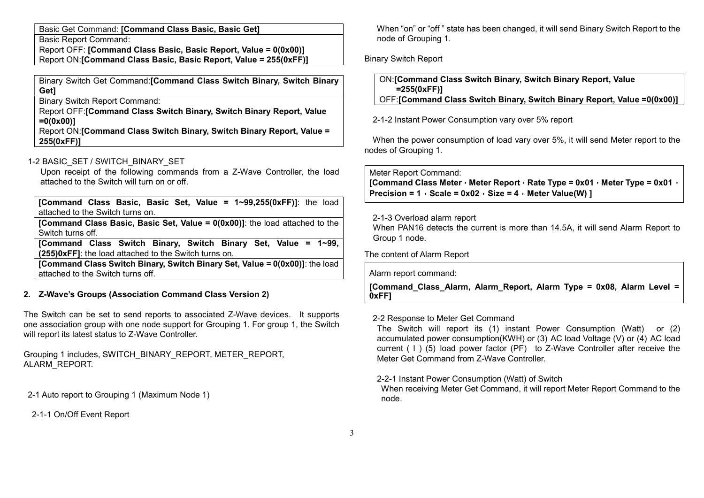Basic Get Command: [Command Class Basic, Basic Get]

Basic Report Command:

Report OFF: [Command Class Basic, Basic Report, Value = 0(0x00)] Report ON:[Command Class Basic, Basic Report, Value = 255(0xFF)]

Binary Switch Get Command:[Command Class Switch Binary, Switch Binary Get]

Binary Switch Report Command:

Report OFF:[Command Class Switch Binary, Switch Binary Report, Value =0(0x00)]

Report ON:[Command Class Switch Binary, Switch Binary Report, Value = 255(0xFF)]

## 1-2 BASIC\_SET / SWITCH\_BINARY\_SET

 Upon receipt of the following commands from a Z-Wave Controller, the load attached to the Switch will turn on or off.

[Command Class Basic, Basic Set, Value = 1~99,255(0xFF)]: the load attached to the Switch turns on.

[Command Class Basic, Basic Set, Value =  $0(0x00)$ ]: the load attached to the Switch turns off.

[Command Class Switch Binary, Switch Binary Set, Value = 1~99, (255)0xFF]: the load attached to the Switch turns on.

[Command Class Switch Binary, Switch Binary Set, Value = 0(0x00)]: the load attached to the Switch turns off.

## 2. Z-Wave's Groups (Association Command Class Version 2)

The Switch can be set to send reports to associated Z-Wave devices. It supports one association group with one node support for Grouping 1. For group 1, the Switch will report its latest status to Z-Wave Controller.

Grouping 1 includes, SWITCH\_BINARY\_REPORT, METER\_REPORT, ALARM\_REPORT.

2-1 Auto report to Grouping 1 (Maximum Node 1)

2-1-1 On/Off Event Report

 When "on" or "off " state has been changed, it will send Binary Switch Report to the node of Grouping 1.

Binary Switch Report

| ON: [Command Class Switch Binary, Switch Binary Report, Value           |
|-------------------------------------------------------------------------|
| $= 255(0xFF)$                                                           |
| OFF:[Command Class Switch Binary, Switch Binary Report, Value =0(0x00)] |

2-1-2 Instant Power Consumption vary over 5% report

When the power consumption of load vary over 5%, it will send Meter report to the nodes of Grouping 1.

Meter Report Command:

[Command Class Meter, Meter Report, Rate Type = 0x01, Meter Type = 0x01, Precision =  $1$ , Scale = 0x02, Size =  $4$ , Meter Value(W) 1

### 2-1-3 Overload alarm report

When PAN16 detects the current is more than 14.5A, it will send Alarm Report to Group 1 node.

The content of Alarm Report

Alarm report command:

[Command\_Class\_Alarm, Alarm\_Report, Alarm Type = 0x08, Alarm Level = 0xFF]

### 2-2 Response to Meter Get Command

 The Switch will report its (1) instant Power Consumption (Watt) or (2) accumulated power consumption(KWH) or (3) AC load Voltage (V) or (4) AC load current ( I ) (5) load power factor (PF) to Z-Wave Controller after receive the Meter Get Command from Z-Wave Controller.

2-2-1 Instant Power Consumption (Watt) of Switch

 When receiving Meter Get Command, it will report Meter Report Command to the node.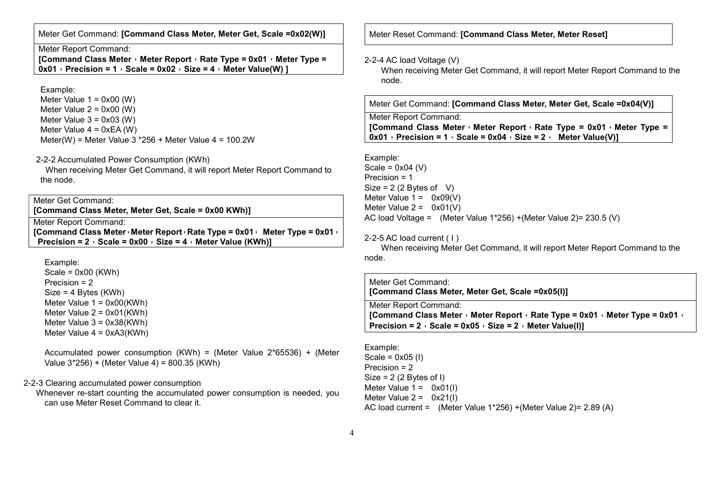Meter Get Command: [Command Class Meter, Meter Get, Scale =0x02(W)]

#### Meter Report Command:

[Command Class Meter, Meter Report, Rate Type = 0x01, Meter Type =  $0x01$ , Precision = 1, Scale =  $0x02$ , Size = 4, Meter Value(W) 1

#### Example:

Meter Value  $1 = 0 \times 00$  (W) Meter Value  $2 = 0x00$  (W) Meter Value  $3 = 0 \times 03$  (W) Meter Value  $4 = 0xEA$  (W) Meter(W) = Meter Value  $3 *256 +$  Meter Value  $4 = 100.2W$ 

### 2-2-2 Accumulated Power Consumption (KWh)

When receiving Meter Get Command, it will report Meter Report Command to the node.

### Meter Get Command:

[Command Class Meter, Meter Get, Scale = 0x00 KWh)]

Meter Report Command:

[Command Class Meter, Meter Report, Rate Type =  $0x01$ , Meter Type =  $0x01$ , Precision =  $2$ , Scale = 0x00, Size =  $4$ , Meter Value (KWh)]

Example:

 $Scale = 0x00$  (KWh) Precision = 2 Size = 4 Bytes (KWh) Meter Value 1 = 0x00(KWh) Meter Value 2 = 0x01(KWh) Meter Value 3 = 0x38(KWh) Meter Value 4 = 0xA3(KWh)

 Accumulated power consumption (KWh) = (Meter Value 2\*65536) + (Meter Value 3\*256) + (Meter Value 4) = 800.35 (KWh)

#### 2-2-3 Clearing accumulated power consumption

 Whenever re-start counting the accumulated power consumption is needed, you can use Meter Reset Command to clear it.

Meter Reset Command: [Command Class Meter, Meter Reset]

#### 2-2-4 AC load Voltage (V)

 When receiving Meter Get Command, it will report Meter Report Command to the node.

Meter Get Command: [Command Class Meter, Meter Get, Scale =0x04(V)]

Meter Report Command:

[Command Class Meter, Meter Report, Rate Type =  $0x01$ , Meter Type =  $\overline{0x01}$ , Precision = 1, Scale = 0x04, Size = 2, Meter Value(V)]

Example: Scale =  $0x04$  (V) Precision = 1 Size =  $2(2$  Bytes of V) Meter Value  $1 = 0 \times 09(V)$ Meter Value  $2 = 0x01(V)$ 

AC load Voltage = (Meter Value 1\*256) +(Meter Value 2)= 230.5 (V)

#### 2-2-5 AC load current ( I )

 When receiving Meter Get Command, it will report Meter Report Command to the node.

Meter Get Command: [Command Class Meter, Meter Get, Scale =0x05(I)]

Meter Report Command: [Command Class Meter, Meter Report, Rate Type = 0x01, Meter Type = 0x01, Precision =  $2 \cdot$  Scale = 0x05  $\cdot$  Size =  $2 \cdot$  Meter Value(I)]

Example: Scale =  $0x05$  (1) Precision = 2 Size  $= 2$  (2 Bytes of I) Meter Value  $1 = 0 \times 01(1)$ Meter Value  $2 = 0x21(1)$ AC load current = (Meter Value 1\*256) +(Meter Value 2)= 2.89 (A)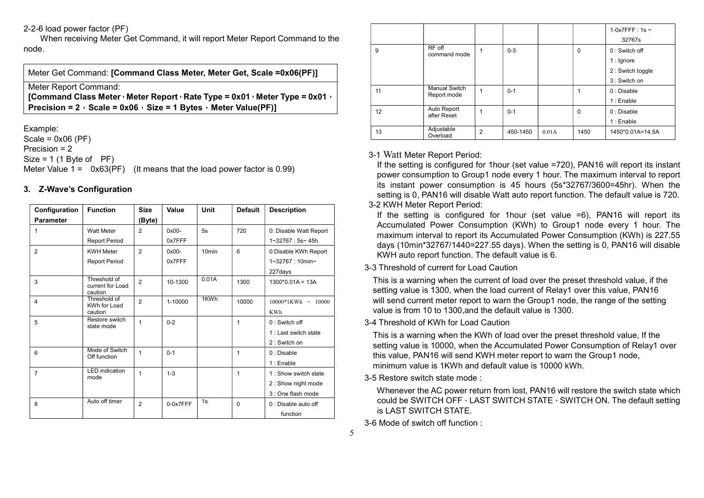#### 2-2-6 load power factor (PF)

 When receiving Meter Get Command, it will report Meter Report Command to the node.

Meter Get Command: [Command Class Meter, Meter Get, Scale =0x06(PF)]

Meter Report Command:

[Command Class Meter, Meter Report, Rate Type = 0x01, Meter Type = 0x01, Precision =  $2$ , Scale = 0x06, Size = 1 Bytes, Meter Value(PF)]

Example: Scale =  $0x06$  (PF) Precision = 2  $Size = 1 (1 Bvte of PF)$ Meter Value  $1 = 0x63(PF)$  (It means that the load power factor is 0.99)

### 3. Z-Wave's Configuration

| Configuration    | <b>Function</b>                             | <b>Size</b>    | Value    | <b>Unit</b>       | <b>Default</b> | <b>Description</b>                                                |
|------------------|---------------------------------------------|----------------|----------|-------------------|----------------|-------------------------------------------------------------------|
| <b>Parameter</b> |                                             | (Byte)         |          |                   |                |                                                                   |
|                  | <b>Watt Meter</b>                           | 2              | $0x00-$  | 5s                | 720            | 0: Disable Watt Report                                            |
|                  | <b>Report Period</b>                        |                | 0x7FFF   |                   |                | $1 - 32767 : 5s - 45h$                                            |
| $\overline{2}$   | <b>KWH Meter</b>                            | $\overline{2}$ | $0x00-$  | 10 <sub>min</sub> | 6              | 0:Disable KWh Report                                              |
|                  | <b>Report Period</b>                        |                | 0x7FFF   |                   |                | 1~32767: 10min~                                                   |
|                  |                                             |                |          |                   |                | 227days                                                           |
| 3                | Threshold of<br>current for Load<br>caution | $\overline{2}$ | 10-1300  | 0.01A             | 1300           | $1300*0.01A = 13A$                                                |
| $\overline{4}$   | Threshold of<br>KWh for Load<br>caution     | $\overline{2}$ | 1-10000  | 1KWh              | 10000          | $10000*1KWh = 10000$<br><b>KWh</b>                                |
| 5                | Restore switch<br>state mode                | 1              | $0 - 2$  |                   | 1              | $0:$ Switch off<br>1 : Last switch state<br>2: Switch on          |
| 6                | Mode of Switch<br>Off function              | 1              | $0 - 1$  |                   | 1              | 0: Disable<br>$1:$ Enable                                         |
| $\overline{7}$   | <b>LED</b> indication<br>mode               | 1              | $1 - 3$  |                   | 1              | 1 : Show switch state<br>2: Show night mode<br>3 : One flash mode |
| 8                | Auto off timer                              | $\overline{2}$ | 0-0x7FFF | 1s                | $\Omega$       | 0 : Disable auto off<br>function                                  |

|    |                              |   |          |       |             | 1-0x7FFF: 1s $\sim$ |
|----|------------------------------|---|----------|-------|-------------|---------------------|
|    |                              |   |          |       |             | 32767s              |
| 9  | RF off<br>command mode       | 1 | $0 - 3$  |       | 0           | $0:$ Switch off     |
|    |                              |   |          |       |             | $1:$ Ignore         |
|    |                              |   |          |       |             | 2 : Switch toggle   |
|    |                              |   |          |       |             | 3 : Switch on       |
| 11 | Manual Switch<br>Report mode | 1 | $0 - 1$  |       | 1           | 0: Disable          |
|    |                              |   |          |       |             | 1 : Enable          |
| 12 | Auto Report<br>after Reset   | 1 | $0 - 1$  |       | $\mathbf 0$ | 0: Disable          |
|    |                              |   |          |       |             | 1 : Enable          |
| 13 | Adjustable<br>Overload       | 2 | 450-1450 | 0.01A | 1450        | 1450*0.01A=14.5A    |

### 3-1 Watt Meter Report Period:

 If the setting is configured for 1hour (set value =720), PAN16 will report its instant power consumption to Group1 node every 1 hour. The maximum interval to report its instant power consumption is 45 hours (5s\*32767/3600=45hr). When the setting is 0, PAN16 will disable Watt auto report function. The default value is 720.

### 3-2 KWH Meter Report Period:

 If the setting is configured for 1hour (set value =6), PAN16 will report its Accumulated Power Consumption (KWh) to Group1 node every 1 hour. The maximum interval to report its Accumulated Power Consumption (KWh) is 227.55 days (10min\*32767/1440=227.55 days). When the setting is 0, PAN16 will disable KWH auto report function. The default value is 6.

## 3-3 Threshold of current for Load Caution

This is a warning when the current of load over the preset threshold value, if the setting value is 1300, when the load current of Relay1 over this value, PAN16 will send current meter report to warn the Group1 node, the range of the setting value is from 10 to 1300,and the default value is 1300.

### 3-4 Threshold of KWh for Load Caution

This is a warning when the KWh of load over the preset threshold value, If the setting value is 10000, when the Accumulated Power Consumption of Relay1 over this value, PAN16 will send KWH meter report to warn the Group1 node, minimum value is 1KWh and default value is 10000 kWh.

3-5 Restore switch state mode :

 Whenever the AC power return from lost, PAN16 will restore the switch state which could be SWITCH OFF、LAST SWITCH STATE、SWITCH ON. The default setting is LAST SWITCH STATE.

3-6 Mode of switch off function :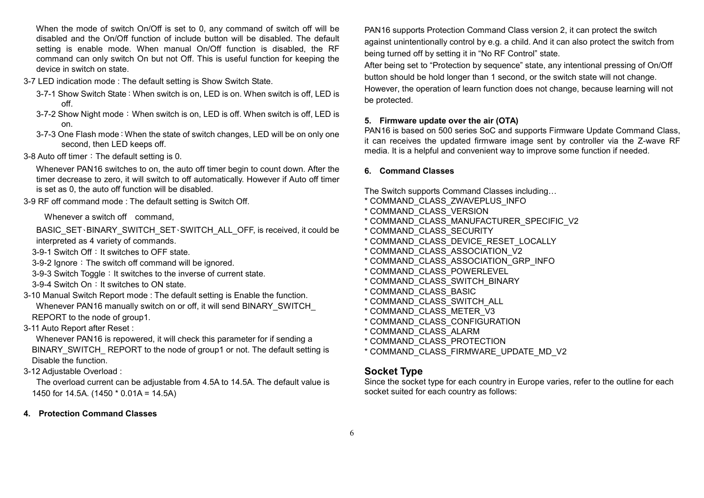When the mode of switch On/Off is set to 0, any command of switch off will be disabled and the On/Off function of include button will be disabled. The default setting is enable mode. When manual On/Off function is disabled, the RF command can only switch On but not Off. This is useful function for keeping the device in switch on state.

- 3-7 LED indication mode : The default setting is Show Switch State.
	- 3-7-1 Show Switch State:When switch is on, LED is on. When switch is off, LED is off.
	- 3-7-2 Show Night mode:When switch is on, LED is off. When switch is off, LED is on.
	- 3-7-3 One Flash mode:When the state of switch changes, LED will be on only one second, then LED keeps off.
- 3-8 Auto off timer: The default setting is 0.

 Whenever PAN16 switches to on, the auto off timer begin to count down. After the timer decrease to zero, it will switch to off automatically. However if Auto off timer is set as 0, the auto off function will be disabled.

3-9 RF off command mode : The default setting is Switch Off.

Whenever a switch off command.

BASIC\_SET、BINARY\_SWITCH\_SET、SWITCH\_ALL\_OFF, is received, it could be interpreted as 4 variety of commands.

3-9-1 Switch Off: It switches to OFF state.

3-9-2 Ignore: The switch off command will be ignored.

3-9-3 Switch Toggle: It switches to the inverse of current state.

3-9-4 Switch On: It switches to ON state.

3-10 Manual Switch Report mode : The default setting is Enable the function. Whenever PAN16 manually switch on or off, it will send BINARY\_SWITCH REPORT to the node of group1.

3-11 Auto Report after Reset :

 Whenever PAN16 is repowered, it will check this parameter for if sending a BINARY\_SWITCH\_ REPORT to the node of group1 or not. The default setting is Disable the function.

3-12 Adjustable Overload :

 The overload current can be adjustable from 4.5A to 14.5A. The default value is 1450 for 14.5A. (1450 \* 0.01A = 14.5A)

4. Protection Command Classes

PAN16 supports Protection Command Class version 2, it can protect the switch against unintentionally control by e.g. a child. And it can also protect the switch from being turned off by setting it in "No RF Control" state.

After being set to "Protection by sequence" state, any intentional pressing of On/Off button should be hold longer than 1 second, or the switch state will not change. However, the operation of learn function does not change, because learning will not be protected.

#### 5. Firmware update over the air (OTA)

PAN16 is based on 500 series SoC and supports Firmware Update Command Class, it can receives the updated firmware image sent by controller via the Z-wave RF media. It is a helpful and convenient way to improve some function if needed.

### 6. Command Classes

The Switch supports Command Classes including…

- \* COMMAND\_CLASS\_ZWAVEPLUS\_INFO
- \* COMMAND\_CLASS\_VERSION
- \* COMMAND\_CLASS\_MANUFACTURER\_SPECIFIC\_V2
- \* COMMAND\_CLASS\_SECURITY
- \* COMMAND\_CLASS\_DEVICE\_RESET\_LOCALLY
- \* COMMAND\_CLASS\_ASSOCIATION\_V2
- \* COMMAND\_CLASS\_ASSOCIATION\_GRP\_INFO
- \* COMMAND\_CLASS\_POWERLEVEL
- \* COMMAND\_CLASS\_SWITCH\_BINARY
- \* COMMAND\_CLASS\_BASIC
- \* COMMAND\_CLASS\_SWITCH\_ALL
- \* COMMAND\_CLASS\_METER\_V3
- \* COMMAND\_CLASS\_CONFIGURATION
- \* COMMAND\_CLASS\_ALARM
- \* COMMAND\_CLASS\_PROTECTION
- \* COMMAND\_CLASS\_FIRMWARE\_UPDATE\_MD\_V2

## Socket Type

Since the socket type for each country in Europe varies, refer to the outline for each socket suited for each country as follows: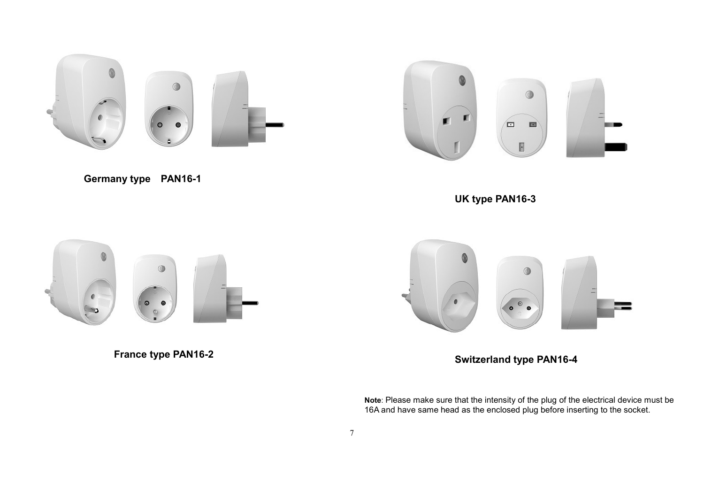

![](_page_6_Picture_1.jpeg)

Germany type PAN16-1

UK type PAN16-3

![](_page_6_Picture_4.jpeg)

France type PAN16-2

![](_page_6_Picture_6.jpeg)

Switzerland type PAN16-4

Note: Please make sure that the intensity of the plug of the electrical device must be 16A and have same head as the enclosed plug before inserting to the socket.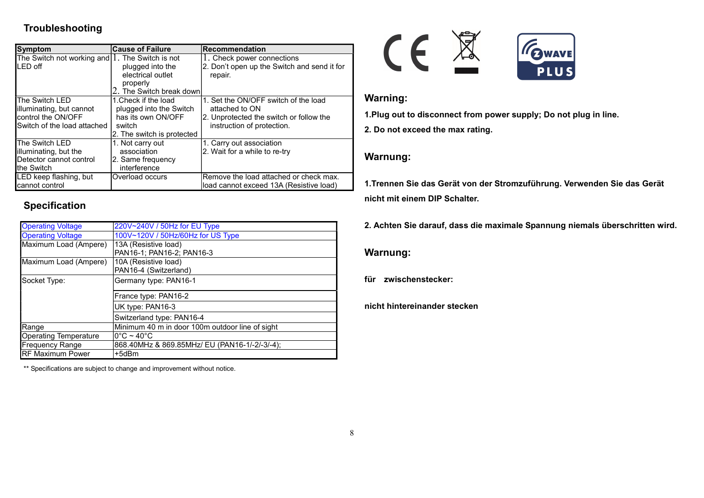## Troubleshooting

| <b>Symptom</b>                                             | <b>Cause of Failure</b>    | Recommendation                              |
|------------------------------------------------------------|----------------------------|---------------------------------------------|
|                                                            |                            |                                             |
| The Switch not working and $  \cdot  $ . The Switch is not |                            | 1. Check power connections                  |
| <b>ILED</b> off                                            | plugged into the           | 2. Don't open up the Switch and send it for |
|                                                            | electrical outlet          | repair.                                     |
|                                                            | properly                   |                                             |
|                                                            | 2. The Switch break down   |                                             |
| The Switch LED                                             | 1. Check if the load       | 1. Set the ON/OFF switch of the load        |
| illuminating, but cannot                                   | plugged into the Switch    | attached to ON                              |
| control the ON/OFF                                         | has its own ON/OFF         | 2. Unprotected the switch or follow the     |
| <b>I</b> Switch of the load attached                       | switch                     | instruction of protection.                  |
|                                                            | 2. The switch is protected |                                             |
| The Switch LED                                             | 1. Not carry out           | 1. Carry out association                    |
| illuminating, but the                                      | association                | 2. Wait for a while to re-try               |
| Detector cannot control                                    | 2. Same frequency          |                                             |
| <b>Ithe Switch</b>                                         | interference               |                                             |
| LED keep flashing, but                                     | Overload occurs            | Remove the load attached or check max.      |
| cannot control                                             |                            | load cannot exceed 13A (Resistive load)     |

## Specification

| <b>Operating Voltage</b>     | 220V~240V / 50Hz for EU Type                    |  |  |
|------------------------------|-------------------------------------------------|--|--|
| <b>Operating Voltage</b>     | 100V~120V / 50Hz/60Hz for US Type               |  |  |
| Maximum Load (Ampere)        | 13A (Resistive load)                            |  |  |
|                              | PAN16-1; PAN16-2; PAN16-3                       |  |  |
| Maximum Load (Ampere)        | 10A (Resistive load)                            |  |  |
|                              | PAN16-4 (Switzerland)                           |  |  |
| Socket Type:                 | Germany type: PAN16-1                           |  |  |
|                              | France type: PAN16-2                            |  |  |
|                              | UK type: PAN16-3                                |  |  |
|                              | Switzerland type: PAN16-4                       |  |  |
| Range                        | Minimum 40 m in door 100m outdoor line of sight |  |  |
| <b>Operating Temperature</b> | $10^{\circ}$ C ~ 40 $^{\circ}$ C                |  |  |
| <b>Frequency Range</b>       | 868.40MHz & 869.85MHz/ EU (PAN16-1/-2/-3/-4);   |  |  |
| <b>RF Maximum Power</b>      | +5dBm                                           |  |  |

\*\* Specifications are subject to change and improvement without notice.

![](_page_7_Picture_5.jpeg)

## Warning:

1.Plug out to disconnect from power supply; Do not plug in line.

2. Do not exceed the max rating.

## Warnung:

1.Trennen Sie das Gerät von der Stromzuführung. Verwenden Sie das Gerät nicht mit einem DIP Schalter.

2. Achten Sie darauf, dass die maximale Spannung niemals überschritten wird.

## Warnung:

für zwischenstecker:

nicht hintereinander stecken